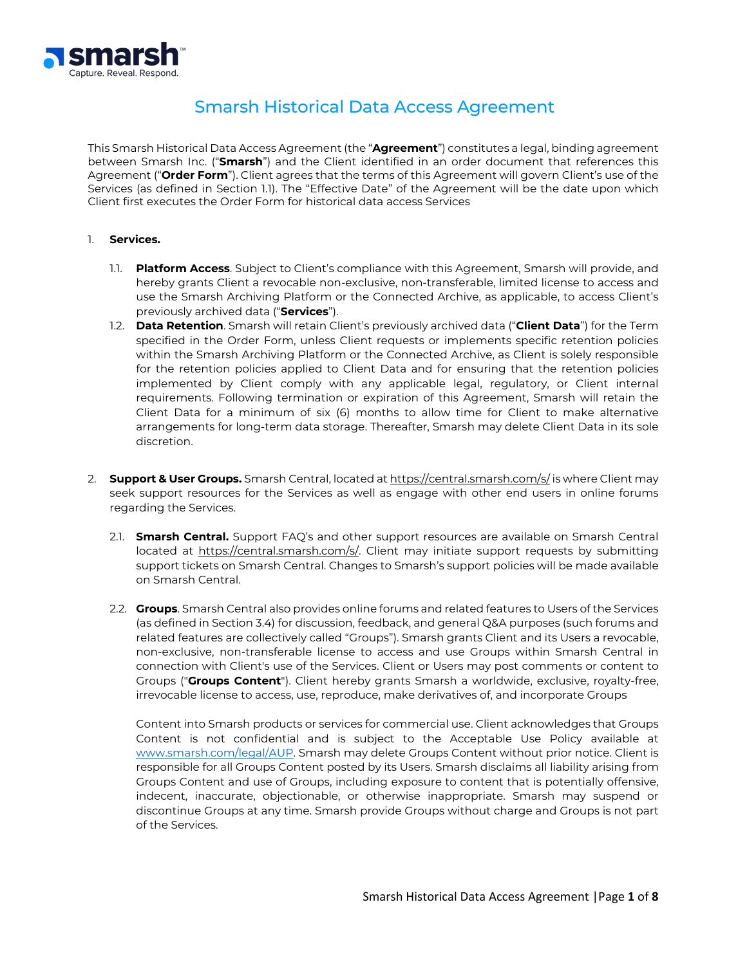

# Smarsh Historical Data Access Agreement

This Smarsh Historical Data Access Agreement (the "**Agreement**") constitutes a legal, binding agreement between Smarsh Inc. ("**Smarsh**") and the Client identified in an order document that references this Agreement ("**Order Form**"). Client agrees that the terms of this Agreement will govern Client's use of the Services (as defined in Section 1.1). The "Effective Date" of the Agreement will be the date upon which Client first executes the Order Form for historical data access Services

## 1. **Services.**

- 1.1. **Platform Access**. Subject to Client's compliance with this Agreement, Smarsh will provide, and hereby grants Client a revocable non-exclusive, non-transferable, limited license to access and use the Smarsh Archiving Platform or the Connected Archive, as applicable, to access Client's previously archived data ("**Services**").
- 1.2. **Data Retention**. Smarsh will retain Client's previously archived data ("**Client Data**") for the Term specified in the Order Form, unless Client requests or implements specific retention policies within the Smarsh Archiving Platform or the Connected Archive, as Client is solely responsible for the retention policies applied to Client Data and for ensuring that the retention policies implemented by Client comply with any applicable legal, regulatory, or Client internal requirements. Following termination or expiration of this Agreement, Smarsh will retain the Client Data for a minimum of six (6) months to allow time for Client to make alternative arrangements for long-term data storage. Thereafter, Smarsh may delete Client Data in its sole discretion.
- 2. **Support & User Groups.** Smarsh Central, located a[t https://central.smarsh.com/s/](http://www.smarsh.com/support/) is where Client may seek support resources for the Services as well as engage with other end users in online forums regarding the Services.
	- 2.1. **Smarsh Central.** Support FAQ's and other support resources are available on Smarsh Central located at [https://central.smarsh.com/s/.](http://www.smarsh.com/support/) Client may initiate support requests by submitting support tickets on Smarsh Central. Changes to Smarsh's support policies will be made available on Smarsh Central.
	- 2.2. **Groups**. Smarsh Central also provides online forums and related features to Users of the Services (as defined in Section 3.4) for discussion, feedback, and general Q&A purposes (such forums and related features are collectively called "Groups"). Smarsh grants Client and its Users a revocable, non-exclusive, non-transferable license to access and use Groups within Smarsh Central in connection with Client's use of the Services. Client or Users may post comments or content to Groups ("**Groups Content**"). Client hereby grants Smarsh a worldwide, exclusive, royalty-free, irrevocable license to access, use, reproduce, make derivatives of, and incorporate Groups

Content into Smarsh products or services for commercial use. Client acknowledges that Groups Content is not confidential and is subject to the Acceptable Use Policy available at [www.smarsh.com/legal/AUP.](http://www.smarsh.com/legal/AUP) Smarsh may delete Groups Content without prior notice. Client is responsible for all Groups Content posted by its Users. Smarsh disclaims all liability arising from Groups Content and use of Groups, including exposure to content that is potentially offensive, indecent, inaccurate, objectionable, or otherwise inappropriate. Smarsh may suspend or discontinue Groups at any time. Smarsh provide Groups without charge and Groups is not part of the Services.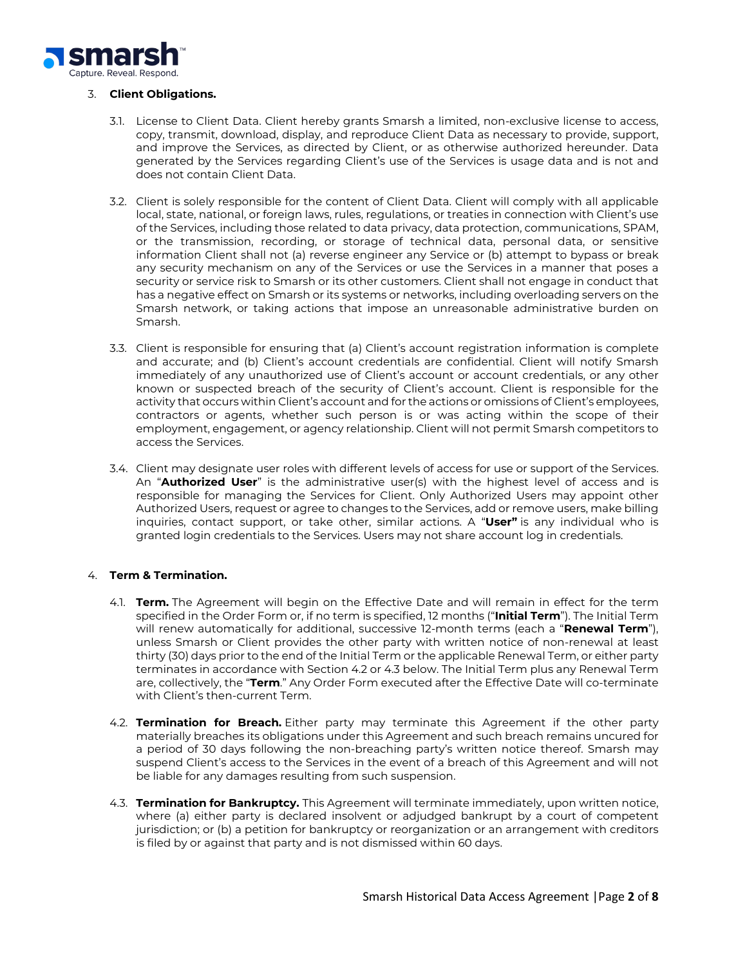

## 3. **Client Obligations.**

- 3.1. License to Client Data. Client hereby grants Smarsh a limited, non-exclusive license to access, copy, transmit, download, display, and reproduce Client Data as necessary to provide, support, and improve the Services, as directed by Client, or as otherwise authorized hereunder. Data generated by the Services regarding Client's use of the Services is usage data and is not and does not contain Client Data.
- 3.2. Client is solely responsible for the content of Client Data. Client will comply with all applicable local, state, national, or foreign laws, rules, regulations, or treaties in connection with Client's use of the Services, including those related to data privacy, data protection, communications, SPAM, or the transmission, recording, or storage of technical data, personal data, or sensitive information Client shall not (a) reverse engineer any Service or (b) attempt to bypass or break any security mechanism on any of the Services or use the Services in a manner that poses a security or service risk to Smarsh or its other customers. Client shall not engage in conduct that has a negative effect on Smarsh or its systems or networks, including overloading servers on the Smarsh network, or taking actions that impose an unreasonable administrative burden on Smarsh.
- 3.3. Client is responsible for ensuring that (a) Client's account registration information is complete and accurate; and (b) Client's account credentials are confidential. Client will notify Smarsh immediately of any unauthorized use of Client's account or account credentials, or any other known or suspected breach of the security of Client's account. Client is responsible for the activity that occurs within Client's account and for the actions or omissions of Client's employees, contractors or agents, whether such person is or was acting within the scope of their employment, engagement, or agency relationship. Client will not permit Smarsh competitors to access the Services.
- 3.4. Client may designate user roles with different levels of access for use or support of the Services. An "**Authorized User**" is the administrative user(s) with the highest level of access and is responsible for managing the Services for Client. Only Authorized Users may appoint other Authorized Users, request or agree to changes to the Services, add or remove users, make billing inquiries, contact support, or take other, similar actions. A "**User"** is any individual who is granted login credentials to the Services. Users may not share account log in credentials.

## 4. **Term & Termination.**

- 4.1. **Term.** The Agreement will begin on the Effective Date and will remain in effect for the term specified in the Order Form or, if no term is specified, 12 months ("**Initial Term**"). The Initial Term will renew automatically for additional, successive 12-month terms (each a "**Renewal Term**"), unless Smarsh or Client provides the other party with written notice of non-renewal at least thirty (30) days prior to the end of the Initial Term or the applicable Renewal Term, or either party terminates in accordance with Section 4.2 or 4.3 below. The Initial Term plus any Renewal Term are, collectively, the "**Term**." Any Order Form executed after the Effective Date will co-terminate with Client's then-current Term.
- 4.2. **Termination for Breach.** Either party may terminate this Agreement if the other party materially breaches its obligations under this Agreement and such breach remains uncured for a period of 30 days following the non-breaching party's written notice thereof. Smarsh may suspend Client's access to the Services in the event of a breach of this Agreement and will not be liable for any damages resulting from such suspension.
- 4.3. **Termination for Bankruptcy.** This Agreement will terminate immediately, upon written notice, where (a) either party is declared insolvent or adjudged bankrupt by a court of competent jurisdiction; or (b) a petition for bankruptcy or reorganization or an arrangement with creditors is filed by or against that party and is not dismissed within 60 days.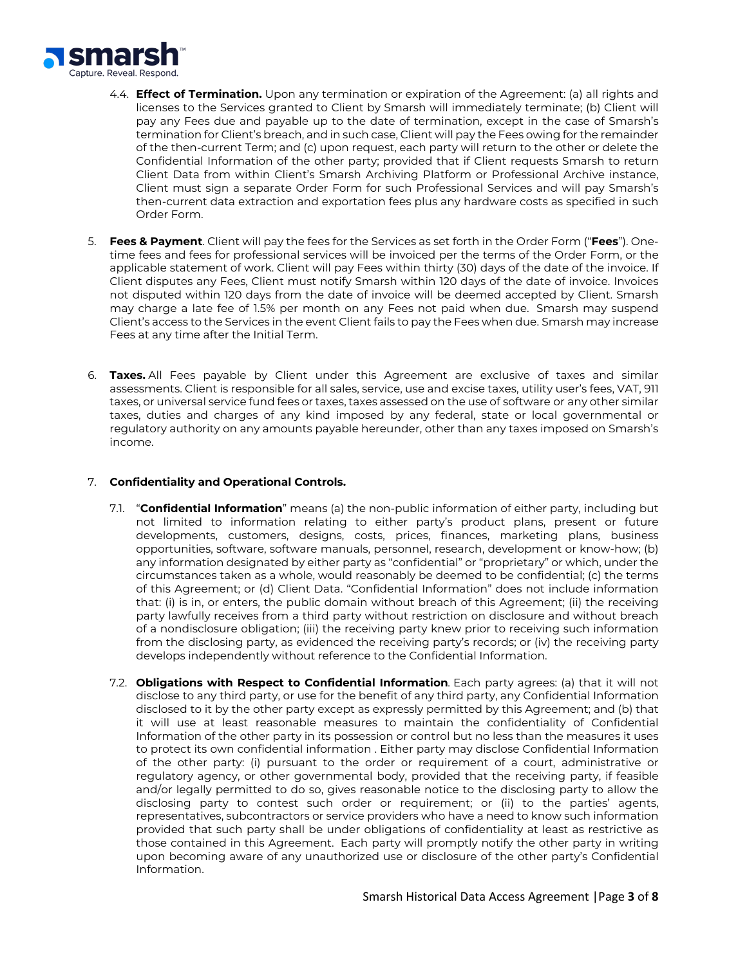

- 4.4. **Effect of Termination.** Upon any termination or expiration of the Agreement: (a) all rights and licenses to the Services granted to Client by Smarsh will immediately terminate; (b) Client will pay any Fees due and payable up to the date of termination, except in the case of Smarsh's termination for Client's breach, and in such case, Client will pay the Fees owing for the remainder of the then-current Term; and (c) upon request, each party will return to the other or delete the Confidential Information of the other party; provided that if Client requests Smarsh to return Client Data from within Client's Smarsh Archiving Platform or Professional Archive instance, Client must sign a separate Order Form for such Professional Services and will pay Smarsh's then-current data extraction and exportation fees plus any hardware costs as specified in such Order Form.
- 5. **Fees & Payment**. Client will pay the fees for the Services as set forth in the Order Form ("**Fees**"). Onetime fees and fees for professional services will be invoiced per the terms of the Order Form, or the applicable statement of work. Client will pay Fees within thirty (30) days of the date of the invoice. If Client disputes any Fees, Client must notify Smarsh within 120 days of the date of invoice. Invoices not disputed within 120 days from the date of invoice will be deemed accepted by Client. Smarsh may charge a late fee of 1.5% per month on any Fees not paid when due. Smarsh may suspend Client's access to the Services in the event Client fails to pay the Fees when due. Smarsh may increase Fees at any time after the Initial Term.
- 6. **Taxes.** All Fees payable by Client under this Agreement are exclusive of taxes and similar assessments. Client is responsible for all sales, service, use and excise taxes, utility user's fees, VAT, 911 taxes, or universal service fund fees or taxes, taxes assessed on the use of software or any other similar taxes, duties and charges of any kind imposed by any federal, state or local governmental or regulatory authority on any amounts payable hereunder, other than any taxes imposed on Smarsh's income.

## 7. **Confidentiality and Operational Controls.**

- 7.1. "**Confidential Information**" means (a) the non-public information of either party, including but not limited to information relating to either party's product plans, present or future developments, customers, designs, costs, prices, finances, marketing plans, business opportunities, software, software manuals, personnel, research, development or know-how; (b) any information designated by either party as "confidential" or "proprietary" or which, under the circumstances taken as a whole, would reasonably be deemed to be confidential; (c) the terms of this Agreement; or (d) Client Data. "Confidential Information" does not include information that: (i) is in, or enters, the public domain without breach of this Agreement; (ii) the receiving party lawfully receives from a third party without restriction on disclosure and without breach of a nondisclosure obligation; (iii) the receiving party knew prior to receiving such information from the disclosing party, as evidenced the receiving party's records; or (iv) the receiving party develops independently without reference to the Confidential Information.
- 7.2. **Obligations with Respect to Confidential Information***.* Each party agrees: (a) that it will not disclose to any third party, or use for the benefit of any third party, any Confidential Information disclosed to it by the other party except as expressly permitted by this Agreement; and (b) that it will use at least reasonable measures to maintain the confidentiality of Confidential Information of the other party in its possession or control but no less than the measures it uses to protect its own confidential information . Either party may disclose Confidential Information of the other party: (i) pursuant to the order or requirement of a court, administrative or regulatory agency, or other governmental body, provided that the receiving party, if feasible and/or legally permitted to do so, gives reasonable notice to the disclosing party to allow the disclosing party to contest such order or requirement; or (ii) to the parties' agents, representatives, subcontractors or service providers who have a need to know such information provided that such party shall be under obligations of confidentiality at least as restrictive as those contained in this Agreement. Each party will promptly notify the other party in writing upon becoming aware of any unauthorized use or disclosure of the other party's Confidential Information.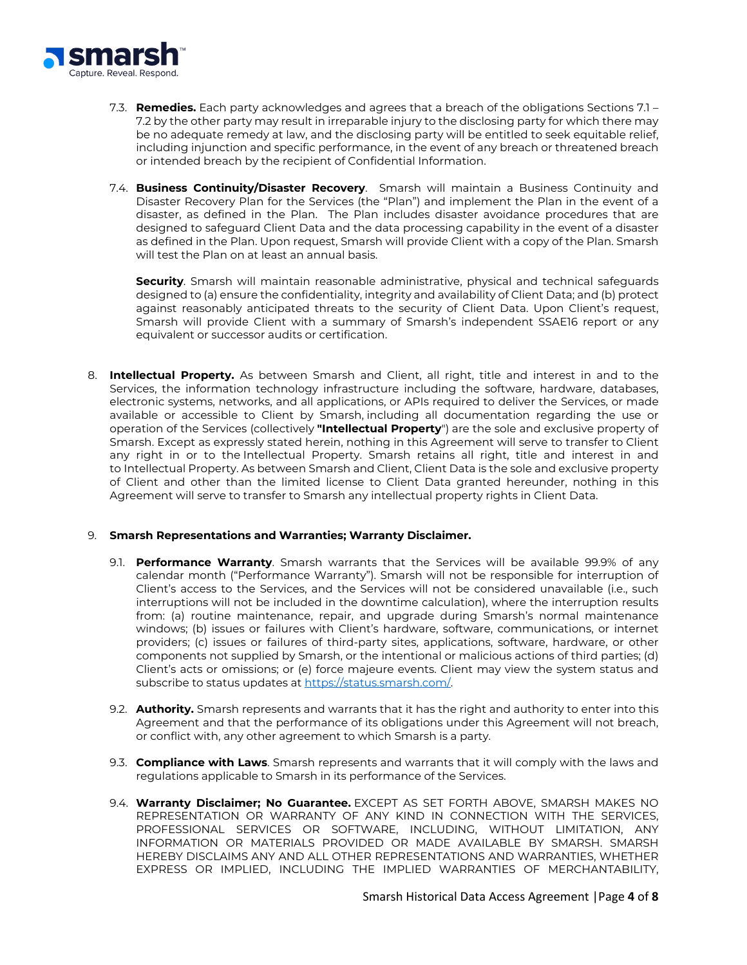

- 7.3. **Remedies.** Each party acknowledges and agrees that a breach of the obligations Sections 7.1 7.2 by the other party may result in irreparable injury to the disclosing party for which there may be no adequate remedy at law, and the disclosing party will be entitled to seek equitable relief, including injunction and specific performance, in the event of any breach or threatened breach or intended breach by the recipient of Confidential Information.
- 7.4. **Business Continuity/Disaster Recovery**. Smarsh will maintain a Business Continuity and Disaster Recovery Plan for the Services (the "Plan") and implement the Plan in the event of a disaster, as defined in the Plan. The Plan includes disaster avoidance procedures that are designed to safeguard Client Data and the data processing capability in the event of a disaster as defined in the Plan. Upon request, Smarsh will provide Client with a copy of the Plan. Smarsh will test the Plan on at least an annual basis.

**Security**. Smarsh will maintain reasonable administrative, physical and technical safeguards designed to (a) ensure the confidentiality, integrity and availability of Client Data; and (b) protect against reasonably anticipated threats to the security of Client Data. Upon Client's request, Smarsh will provide Client with a summary of Smarsh's independent SSAE16 report or any equivalent or successor audits or certification.

8. **Intellectual Property.** As between Smarsh and Client, all right, title and interest in and to the Services, the information technology infrastructure including the software, hardware, databases, electronic systems, networks, and all applications, or APIs required to deliver the Services, or made available or accessible to Client by Smarsh, including all documentation regarding the use or operation of the Services (collectively **"Intellectual Property**") are the sole and exclusive property of Smarsh. Except as expressly stated herein, nothing in this Agreement will serve to transfer to Client any right in or to the Intellectual Property. Smarsh retains all right, title and interest in and to Intellectual Property. As between Smarsh and Client, Client Data is the sole and exclusive property of Client and other than the limited license to Client Data granted hereunder, nothing in this Agreement will serve to transfer to Smarsh any intellectual property rights in Client Data.

#### 9. **Smarsh Representations and Warranties; Warranty Disclaimer.**

- 9.1. **Performance Warranty**. Smarsh warrants that the Services will be available 99.9% of any calendar month ("Performance Warranty"). Smarsh will not be responsible for interruption of Client's access to the Services, and the Services will not be considered unavailable (i.e., such interruptions will not be included in the downtime calculation), where the interruption results from: (a) routine maintenance, repair, and upgrade during Smarsh's normal maintenance windows; (b) issues or failures with Client's hardware, software, communications, or internet providers; (c) issues or failures of third-party sites, applications, software, hardware, or other components not supplied by Smarsh, or the intentional or malicious actions of third parties; (d) Client's acts or omissions; or (e) force majeure events. Client may view the system status and subscribe to status updates at [https://status.smarsh.com/.](https://status.smarsh.com/)
- 9.2. **Authority.** Smarsh represents and warrants that it has the right and authority to enter into this Agreement and that the performance of its obligations under this Agreement will not breach, or conflict with, any other agreement to which Smarsh is a party.
- 9.3. **Compliance with Laws**. Smarsh represents and warrants that it will comply with the laws and regulations applicable to Smarsh in its performance of the Services.
- 9.4. **Warranty Disclaimer; No Guarantee.** EXCEPT AS SET FORTH ABOVE, SMARSH MAKES NO REPRESENTATION OR WARRANTY OF ANY KIND IN CONNECTION WITH THE SERVICES, PROFESSIONAL SERVICES OR SOFTWARE, INCLUDING, WITHOUT LIMITATION, ANY INFORMATION OR MATERIALS PROVIDED OR MADE AVAILABLE BY SMARSH. SMARSH HEREBY DISCLAIMS ANY AND ALL OTHER REPRESENTATIONS AND WARRANTIES, WHETHER EXPRESS OR IMPLIED, INCLUDING THE IMPLIED WARRANTIES OF MERCHANTABILITY,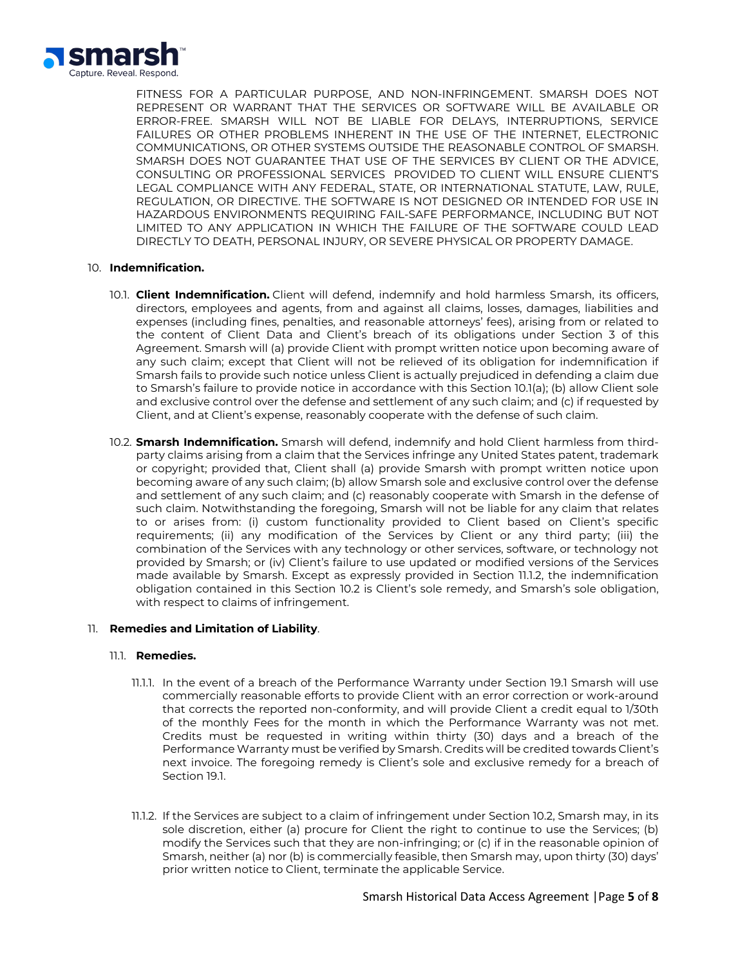

FITNESS FOR A PARTICULAR PURPOSE, AND NON-INFRINGEMENT. SMARSH DOES NOT REPRESENT OR WARRANT THAT THE SERVICES OR SOFTWARE WILL BE AVAILABLE OR ERROR-FREE. SMARSH WILL NOT BE LIABLE FOR DELAYS, INTERRUPTIONS, SERVICE FAILURES OR OTHER PROBLEMS INHERENT IN THE USE OF THE INTERNET, ELECTRONIC COMMUNICATIONS, OR OTHER SYSTEMS OUTSIDE THE REASONABLE CONTROL OF SMARSH. SMARSH DOES NOT GUARANTEE THAT USE OF THE SERVICES BY CLIENT OR THE ADVICE, CONSULTING OR PROFESSIONAL SERVICES PROVIDED TO CLIENT WILL ENSURE CLIENT'S LEGAL COMPLIANCE WITH ANY FEDERAL, STATE, OR INTERNATIONAL STATUTE, LAW, RULE, REGULATION, OR DIRECTIVE. THE SOFTWARE IS NOT DESIGNED OR INTENDED FOR USE IN HAZARDOUS ENVIRONMENTS REQUIRING FAIL-SAFE PERFORMANCE, INCLUDING BUT NOT LIMITED TO ANY APPLICATION IN WHICH THE FAILURE OF THE SOFTWARE COULD LEAD DIRECTLY TO DEATH, PERSONAL INJURY, OR SEVERE PHYSICAL OR PROPERTY DAMAGE.

## 10. **Indemnification.**

- 10.1. **Client Indemnification.** Client will defend, indemnify and hold harmless Smarsh, its officers, directors, employees and agents, from and against all claims, losses, damages, liabilities and expenses (including fines, penalties, and reasonable attorneys' fees), arising from or related to the content of Client Data and Client's breach of its obligations under Section 3 of this Agreement. Smarsh will (a) provide Client with prompt written notice upon becoming aware of any such claim; except that Client will not be relieved of its obligation for indemnification if Smarsh fails to provide such notice unless Client is actually prejudiced in defending a claim due to Smarsh's failure to provide notice in accordance with this Section 10.1(a); (b) allow Client sole and exclusive control over the defense and settlement of any such claim; and (c) if requested by Client, and at Client's expense, reasonably cooperate with the defense of such claim.
- 10.2. **Smarsh Indemnification.** Smarsh will defend, indemnify and hold Client harmless from thirdparty claims arising from a claim that the Services infringe any United States patent, trademark or copyright; provided that, Client shall (a) provide Smarsh with prompt written notice upon becoming aware of any such claim; (b) allow Smarsh sole and exclusive control over the defense and settlement of any such claim; and (c) reasonably cooperate with Smarsh in the defense of such claim. Notwithstanding the foregoing, Smarsh will not be liable for any claim that relates to or arises from: (i) custom functionality provided to Client based on Client's specific requirements; (ii) any modification of the Services by Client or any third party; (iii) the combination of the Services with any technology or other services, software, or technology not provided by Smarsh; or (iv) Client's failure to use updated or modified versions of the Services made available by Smarsh. Except as expressly provided in Section 11.1.2, the indemnification obligation contained in this Section 10.2 is Client's sole remedy, and Smarsh's sole obligation, with respect to claims of infringement.

#### 11. **Remedies and Limitation of Liability**.

#### 11.1. **Remedies.**

- 11.1.1. In the event of a breach of the Performance Warranty under Section 19.1 Smarsh will use commercially reasonable efforts to provide Client with an error correction or work-around that corrects the reported non-conformity, and will provide Client a credit equal to 1/30th of the monthly Fees for the month in which the Performance Warranty was not met. Credits must be requested in writing within thirty (30) days and a breach of the Performance Warranty must be verified by Smarsh. Credits will be credited towards Client's next invoice. The foregoing remedy is Client's sole and exclusive remedy for a breach of Section 19.1.
- 11.1.2. If the Services are subject to a claim of infringement under Section 10.2, Smarsh may, in its sole discretion, either (a) procure for Client the right to continue to use the Services; (b) modify the Services such that they are non-infringing; or (c) if in the reasonable opinion of Smarsh, neither (a) nor (b) is commercially feasible, then Smarsh may, upon thirty (30) days' prior written notice to Client, terminate the applicable Service.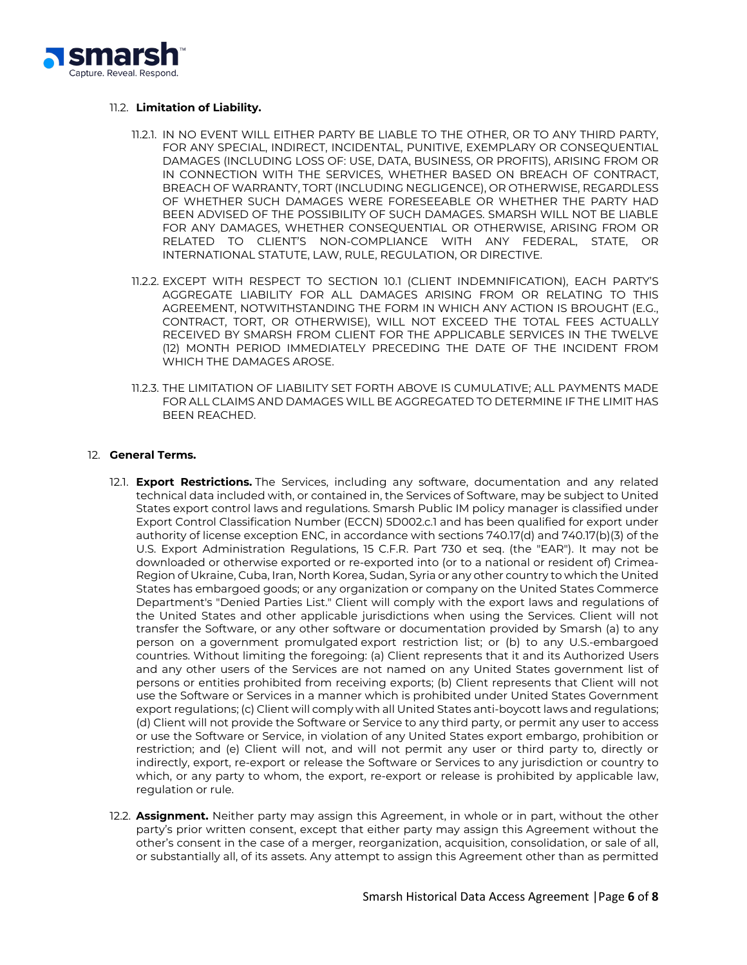

## 11.2. **Limitation of Liability.**

- 11.2.1. IN NO EVENT WILL EITHER PARTY BE LIABLE TO THE OTHER, OR TO ANY THIRD PARTY, FOR ANY SPECIAL, INDIRECT, INCIDENTAL, PUNITIVE, EXEMPLARY OR CONSEQUENTIAL DAMAGES (INCLUDING LOSS OF: USE, DATA, BUSINESS, OR PROFITS), ARISING FROM OR IN CONNECTION WITH THE SERVICES, WHETHER BASED ON BREACH OF CONTRACT, BREACH OF WARRANTY, TORT (INCLUDING NEGLIGENCE), OR OTHERWISE, REGARDLESS OF WHETHER SUCH DAMAGES WERE FORESEEABLE OR WHETHER THE PARTY HAD BEEN ADVISED OF THE POSSIBILITY OF SUCH DAMAGES. SMARSH WILL NOT BE LIABLE FOR ANY DAMAGES, WHETHER CONSEQUENTIAL OR OTHERWISE, ARISING FROM OR RELATED TO CLIENT'S NON-COMPLIANCE WITH ANY FEDERAL, STATE, OR INTERNATIONAL STATUTE, LAW, RULE, REGULATION, OR DIRECTIVE.
- 11.2.2. EXCEPT WITH RESPECT TO SECTION 10.1 (CLIENT INDEMNIFICATION), EACH PARTY'S AGGREGATE LIABILITY FOR ALL DAMAGES ARISING FROM OR RELATING TO THIS AGREEMENT, NOTWITHSTANDING THE FORM IN WHICH ANY ACTION IS BROUGHT (E.G., CONTRACT, TORT, OR OTHERWISE), WILL NOT EXCEED THE TOTAL FEES ACTUALLY RECEIVED BY SMARSH FROM CLIENT FOR THE APPLICABLE SERVICES IN THE TWELVE (12) MONTH PERIOD IMMEDIATELY PRECEDING THE DATE OF THE INCIDENT FROM WHICH THE DAMAGES AROSE.
- 11.2.3. THE LIMITATION OF LIABILITY SET FORTH ABOVE IS CUMULATIVE; ALL PAYMENTS MADE FOR ALL CLAIMS AND DAMAGES WILL BE AGGREGATED TO DETERMINE IF THE LIMIT HAS BEEN REACHED.

## 12. **General Terms.**

- 12.1. **Export Restrictions.** The Services, including any software, documentation and any related technical data included with, or contained in, the Services of Software, may be subject to United States export control laws and regulations. Smarsh Public IM policy manager is classified under Export Control Classification Number (ECCN) 5D002.c.1 and has been qualified for export under authority of license exception ENC, in accordance with sections 740.17(d) and 740.17(b)(3) of the U.S. Export Administration Regulations, 15 C.F.R. Part 730 et seq. (the "EAR"). It may not be downloaded or otherwise exported or re-exported into (or to a national or resident of) Crimea-Region of Ukraine, Cuba, Iran, North Korea, Sudan, Syria or any other country to which the United States has embargoed goods; or any organization or company on the United States Commerce Department's "Denied Parties List." Client will comply with the export laws and regulations of the United States and other applicable jurisdictions when using the Services. Client will not transfer the Software, or any other software or documentation provided by Smarsh (a) to any person on a government promulgated export restriction list; or (b) to any U.S.-embargoed countries. Without limiting the foregoing: (a) Client represents that it and its Authorized Users and any other users of the Services are not named on any United States government list of persons or entities prohibited from receiving exports; (b) Client represents that Client will not use the Software or Services in a manner which is prohibited under United States Government export regulations; (c) Client will comply with all United States anti-boycott laws and regulations; (d) Client will not provide the Software or Service to any third party, or permit any user to access or use the Software or Service, in violation of any United States export embargo, prohibition or restriction; and (e) Client will not, and will not permit any user or third party to, directly or indirectly, export, re-export or release the Software or Services to any jurisdiction or country to which, or any party to whom, the export, re-export or release is prohibited by applicable law, regulation or rule.
- 12.2. **Assignment.** Neither party may assign this Agreement, in whole or in part, without the other party's prior written consent, except that either party may assign this Agreement without the other's consent in the case of a merger, reorganization, acquisition, consolidation, or sale of all, or substantially all, of its assets. Any attempt to assign this Agreement other than as permitted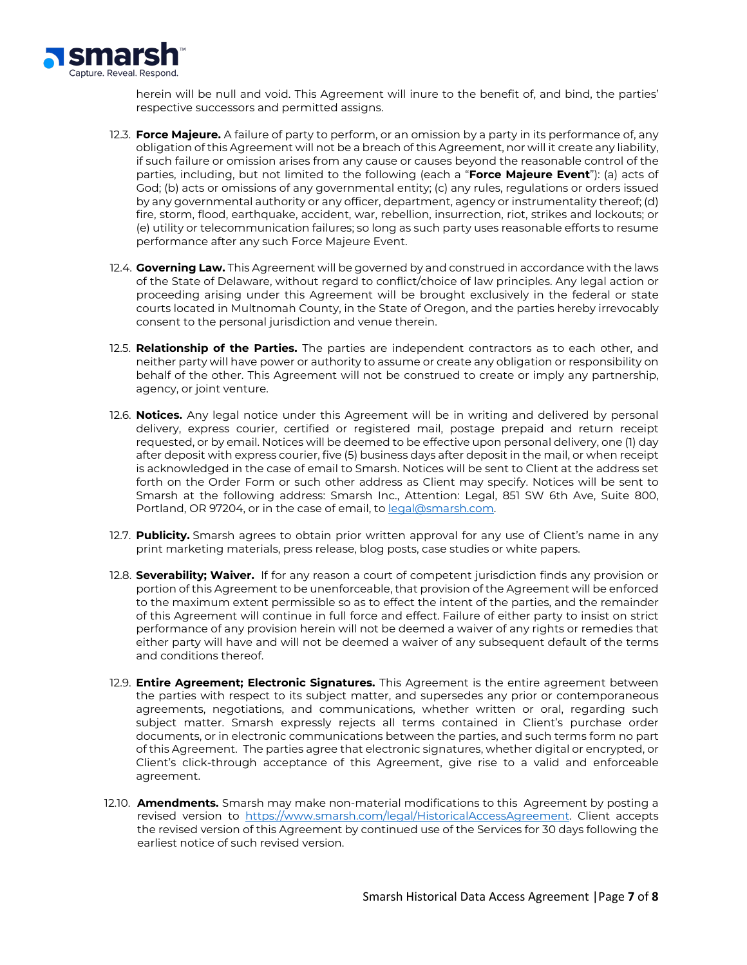

herein will be null and void. This Agreement will inure to the benefit of, and bind, the parties' respective successors and permitted assigns.

- 12.3. **Force Majeure.** A failure of party to perform, or an omission by a party in its performance of, any obligation of this Agreement will not be a breach of this Agreement, nor will it create any liability, if such failure or omission arises from any cause or causes beyond the reasonable control of the parties, including, but not limited to the following (each a "**Force Majeure Event**"): (a) acts of God; (b) acts or omissions of any governmental entity; (c) any rules, regulations or orders issued by any governmental authority or any officer, department, agency or instrumentality thereof; (d) fire, storm, flood, earthquake, accident, war, rebellion, insurrection, riot, strikes and lockouts; or (e) utility or telecommunication failures; so long as such party uses reasonable efforts to resume performance after any such Force Majeure Event.
- 12.4. **Governing Law.** This Agreement will be governed by and construed in accordance with the laws of the State of Delaware, without regard to conflict/choice of law principles. Any legal action or proceeding arising under this Agreement will be brought exclusively in the federal or state courts located in Multnomah County, in the State of Oregon, and the parties hereby irrevocably consent to the personal jurisdiction and venue therein.
- 12.5. **Relationship of the Parties.** The parties are independent contractors as to each other, and neither party will have power or authority to assume or create any obligation or responsibility on behalf of the other. This Agreement will not be construed to create or imply any partnership, agency, or joint venture.
- 12.6. **Notices.** Any legal notice under this Agreement will be in writing and delivered by personal delivery, express courier, certified or registered mail, postage prepaid and return receipt requested, or by email. Notices will be deemed to be effective upon personal delivery, one (1) day after deposit with express courier, five (5) business days after deposit in the mail, or when receipt is acknowledged in the case of email to Smarsh. Notices will be sent to Client at the address set forth on the Order Form or such other address as Client may specify. Notices will be sent to Smarsh at the following address: Smarsh Inc., Attention: Legal, 851 SW 6th Ave, Suite 800, Portland, OR 97204, or in the case of email, to [legal@smarsh.com.](mailto:legal@smarsh.com)
- 12.7. **Publicity.** Smarsh agrees to obtain prior written approval for any use of Client's name in any print marketing materials, press release, blog posts, case studies or white papers.
- 12.8. **Severability; Waiver.** If for any reason a court of competent jurisdiction finds any provision or portion of this Agreement to be unenforceable, that provision of the Agreement will be enforced to the maximum extent permissible so as to effect the intent of the parties, and the remainder of this Agreement will continue in full force and effect. Failure of either party to insist on strict performance of any provision herein will not be deemed a waiver of any rights or remedies that either party will have and will not be deemed a waiver of any subsequent default of the terms and conditions thereof.
- 12.9. **Entire Agreement; Electronic Signatures.** This Agreement is the entire agreement between the parties with respect to its subject matter, and supersedes any prior or contemporaneous agreements, negotiations, and communications, whether written or oral, regarding such subject matter. Smarsh expressly rejects all terms contained in Client's purchase order documents, or in electronic communications between the parties, and such terms form no part of this Agreement. The parties agree that electronic signatures, whether digital or encrypted, or Client's click-through acceptance of this Agreement, give rise to a valid and enforceable agreement.
- 12.10. **Amendments.** Smarsh may make non-material modifications to this Agreement by posting a revised version to [https://www.smarsh.com/legal/HistoricalAccessAgreement.](https://www.smarsh.com/legal/HistoricalAccessAgreement) Client accepts the revised version of this Agreement by continued use of the Services for 30 days following the earliest notice of such revised version.